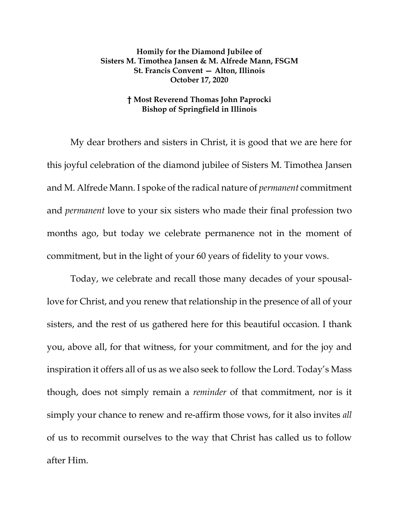## **Homily for the Diamond Jubilee of Sisters M. Timothea Jansen & M. Alfrede Mann, FSGM St. Francis Convent — Alton, Illinois October 17, 2020**

## **† Most Reverend Thomas John Paprocki Bishop of Springfield in Illinois**

My dear brothers and sisters in Christ, it is good that we are here for this joyful celebration of the diamond jubilee of Sisters M. Timothea Jansen and M. Alfrede Mann. I spoke of the radical nature of *permanent* commitment and *permanent* love to your six sisters who made their final profession two months ago, but today we celebrate permanence not in the moment of commitment, but in the light of your 60 years of fidelity to your vows.

Today, we celebrate and recall those many decades of your spousallove for Christ, and you renew that relationship in the presence of all of your sisters, and the rest of us gathered here for this beautiful occasion. I thank you, above all, for that witness, for your commitment, and for the joy and inspiration it offers all of us as we also seek to follow the Lord. Today's Mass though, does not simply remain a *reminder* of that commitment, nor is it simply your chance to renew and re-affirm those vows, for it also invites *all*  of us to recommit ourselves to the way that Christ has called us to follow after Him.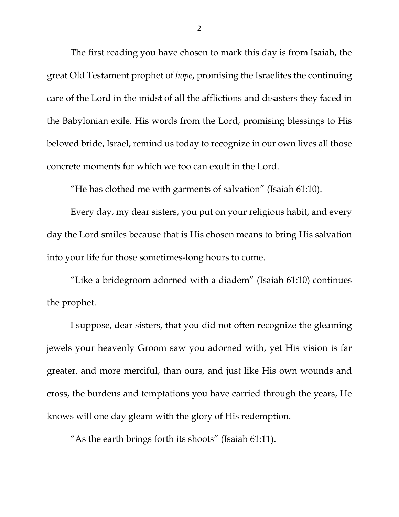The first reading you have chosen to mark this day is from Isaiah, the great Old Testament prophet of *hope*, promising the Israelites the continuing care of the Lord in the midst of all the afflictions and disasters they faced in the Babylonian exile. His words from the Lord, promising blessings to His beloved bride, Israel, remind us today to recognize in our own lives all those concrete moments for which we too can exult in the Lord.

"He has clothed me with garments of salvation" (Isaiah 61:10).

Every day, my dear sisters, you put on your religious habit, and every day the Lord smiles because that is His chosen means to bring His salvation into your life for those sometimes-long hours to come.

"Like a bridegroom adorned with a diadem" (Isaiah 61:10) continues the prophet.

I suppose, dear sisters, that you did not often recognize the gleaming jewels your heavenly Groom saw you adorned with, yet His vision is far greater, and more merciful, than ours, and just like His own wounds and cross, the burdens and temptations you have carried through the years, He knows will one day gleam with the glory of His redemption.

"As the earth brings forth its shoots" (Isaiah 61:11).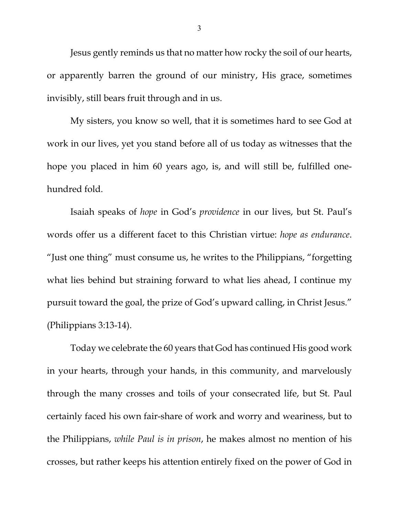Jesus gently reminds us that no matter how rocky the soil of our hearts, or apparently barren the ground of our ministry, His grace, sometimes invisibly, still bears fruit through and in us.

My sisters, you know so well, that it is sometimes hard to see God at work in our lives, yet you stand before all of us today as witnesses that the hope you placed in him 60 years ago, is, and will still be, fulfilled onehundred fold.

Isaiah speaks of *hope* in God's *providence* in our lives, but St. Paul's words offer us a different facet to this Christian virtue: *hope as endurance*. "Just one thing" must consume us, he writes to the Philippians, "forgetting what lies behind but straining forward to what lies ahead, I continue my pursuit toward the goal, the prize of God's upward calling, in Christ Jesus." (Philippians 3:13-14).

Today we celebrate the 60 years that God has continued His good work in your hearts, through your hands, in this community, and marvelously through the many crosses and toils of your consecrated life, but St. Paul certainly faced his own fair-share of work and worry and weariness, but to the Philippians, *while Paul is in prison*, he makes almost no mention of his crosses, but rather keeps his attention entirely fixed on the power of God in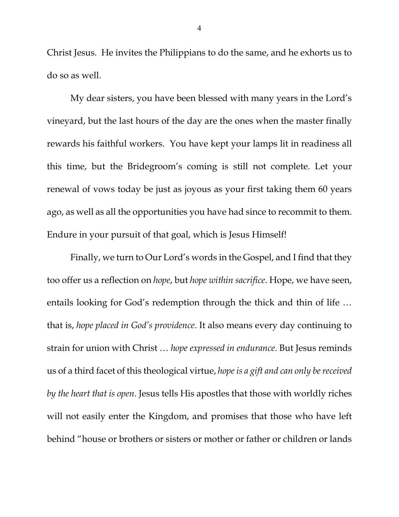Christ Jesus. He invites the Philippians to do the same, and he exhorts us to do so as well.

My dear sisters, you have been blessed with many years in the Lord's vineyard, but the last hours of the day are the ones when the master finally rewards his faithful workers. You have kept your lamps lit in readiness all this time, but the Bridegroom's coming is still not complete. Let your renewal of vows today be just as joyous as your first taking them 60 years ago, as well as all the opportunities you have had since to recommit to them. Endure in your pursuit of that goal, which is Jesus Himself!

Finally, we turn to Our Lord's words in the Gospel, and I find that they too offer us a reflection on *hope*, but *hope within sacrifice*. Hope, we have seen, entails looking for God's redemption through the thick and thin of life … that is, *hope placed in God's providence*. It also means every day continuing to strain for union with Christ … *hope expressed in endurance*. But Jesus reminds us of a third facet of this theological virtue, *hope is a gift and can only be received by the heart that is open*. Jesus tells His apostles that those with worldly riches will not easily enter the Kingdom, and promises that those who have left behind "house or brothers or sisters or mother or father or children or lands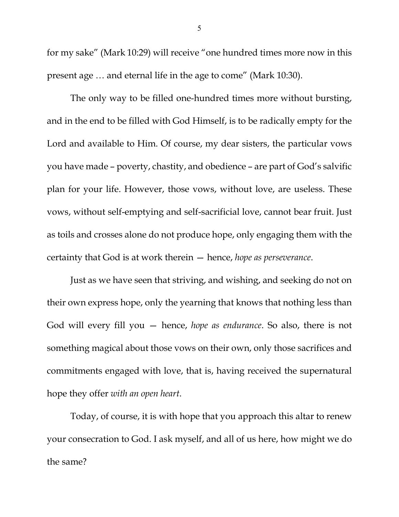for my sake" (Mark 10:29) will receive "one hundred times more now in this present age … and eternal life in the age to come" (Mark 10:30).

The only way to be filled one-hundred times more without bursting, and in the end to be filled with God Himself, is to be radically empty for the Lord and available to Him. Of course, my dear sisters, the particular vows you have made – poverty, chastity, and obedience – are part of God's salvific plan for your life. However, those vows, without love, are useless. These vows, without self-emptying and self-sacrificial love, cannot bear fruit. Just as toils and crosses alone do not produce hope, only engaging them with the certainty that God is at work therein — hence, *hope as perseverance*.

Just as we have seen that striving, and wishing, and seeking do not on their own express hope, only the yearning that knows that nothing less than God will every fill you — hence, *hope as endurance*. So also, there is not something magical about those vows on their own, only those sacrifices and commitments engaged with love, that is, having received the supernatural hope they offer *with an open heart*.

Today, of course, it is with hope that you approach this altar to renew your consecration to God. I ask myself, and all of us here, how might we do the same?

5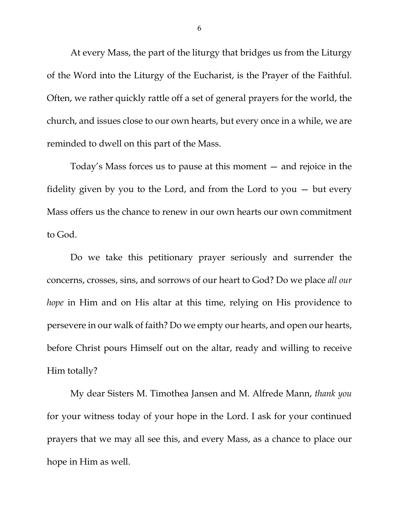At every Mass, the part of the liturgy that bridges us from the Liturgy of the Word into the Liturgy of the Eucharist, is the Prayer of the Faithful. Often, we rather quickly rattle off a set of general prayers for the world, the church, and issues close to our own hearts, but every once in a while, we are reminded to dwell on this part of the Mass.

Today's Mass forces us to pause at this moment — and rejoice in the fidelity given by you to the Lord, and from the Lord to you — but every Mass offers us the chance to renew in our own hearts our own commitment to God.

Do we take this petitionary prayer seriously and surrender the concerns, crosses, sins, and sorrows of our heart to God? Do we place *all our hope* in Him and on His altar at this time, relying on His providence to persevere in our walk of faith? Do we empty our hearts, and open our hearts, before Christ pours Himself out on the altar, ready and willing to receive Him totally?

My dear Sisters M. Timothea Jansen and M. Alfrede Mann, *thank you*  for your witness today of your hope in the Lord. I ask for your continued prayers that we may all see this, and every Mass, as a chance to place our hope in Him as well.

6